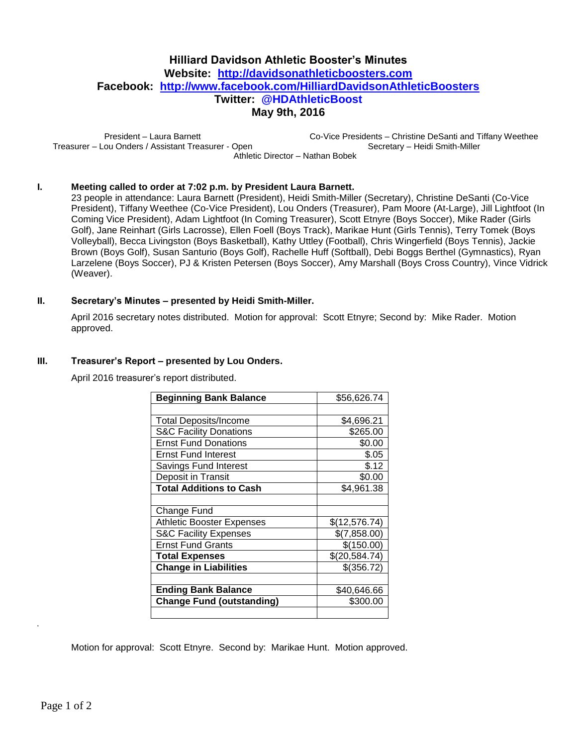# **Hilliard Davidson Athletic Booster's Minutes Website: [http://davidsonathleticboosters.com](http://davidsonathleticboosters.com/) Facebook: <http://www.facebook.com/HilliardDavidsonAthleticBoosters> Twitter: @HDAthleticBoost May 9th, 2016**

President – Laura Barnett Treasurer – Lou Onders / Assistant Treasurer - Open Co-Vice Presidents – Christine DeSanti and Tiffany Weethee Secretary – Heidi Smith-Miller Athletic Director – Nathan Bobek

#### **I. Meeting called to order at 7:02 p.m. by President Laura Barnett.**

23 people in attendance: Laura Barnett (President), Heidi Smith-Miller (Secretary), Christine DeSanti (Co-Vice President), Tiffany Weethee (Co-Vice President), Lou Onders (Treasurer), Pam Moore (At-Large), Jill Lightfoot (In Coming Vice President), Adam Lightfoot (In Coming Treasurer), Scott Etnyre (Boys Soccer), Mike Rader (Girls Golf), Jane Reinhart (Girls Lacrosse), Ellen Foell (Boys Track), Marikae Hunt (Girls Tennis), Terry Tomek (Boys Volleyball), Becca Livingston (Boys Basketball), Kathy Uttley (Football), Chris Wingerfield (Boys Tennis), Jackie Brown (Boys Golf), Susan Santurio (Boys Golf), Rachelle Huff (Softball), Debi Boggs Berthel (Gymnastics), Ryan Larzelene (Boys Soccer), PJ & Kristen Petersen (Boys Soccer), Amy Marshall (Boys Cross Country), Vince Vidrick (Weaver).

#### **II. Secretary's Minutes – presented by Heidi Smith-Miller.**

April 2016 secretary notes distributed. Motion for approval: Scott Etnyre; Second by: Mike Rader. Motion approved.

#### **III. Treasurer's Report – presented by Lou Onders.**

April 2016 treasurer's report distributed.

| <b>Beginning Bank Balance</b>     | \$56,626.74   |
|-----------------------------------|---------------|
|                                   |               |
| Total Deposits/Income             | \$4,696.21    |
| <b>S&amp;C Facility Donations</b> | \$265.00      |
| <b>Ernst Fund Donations</b>       | \$0.00        |
| <b>Ernst Fund Interest</b>        | \$.05         |
| Savings Fund Interest             | \$.12         |
| Deposit in Transit                | \$0.00        |
| <b>Total Additions to Cash</b>    | \$4,961.38    |
|                                   |               |
| Change Fund                       |               |
| <b>Athletic Booster Expenses</b>  | \$(12,576.74) |
| <b>S&amp;C Facility Expenses</b>  | \$(7,858.00)  |
| <b>Ernst Fund Grants</b>          | \$(150.00)    |
| <b>Total Expenses</b>             | \$(20,584.74) |
| <b>Change in Liabilities</b>      | \$(356.72)    |
|                                   |               |
| <b>Ending Bank Balance</b>        | \$40,646.66   |
| <b>Change Fund (outstanding)</b>  | \$300.00      |
|                                   |               |

Motion for approval: Scott Etnyre. Second by: Marikae Hunt. Motion approved.

.